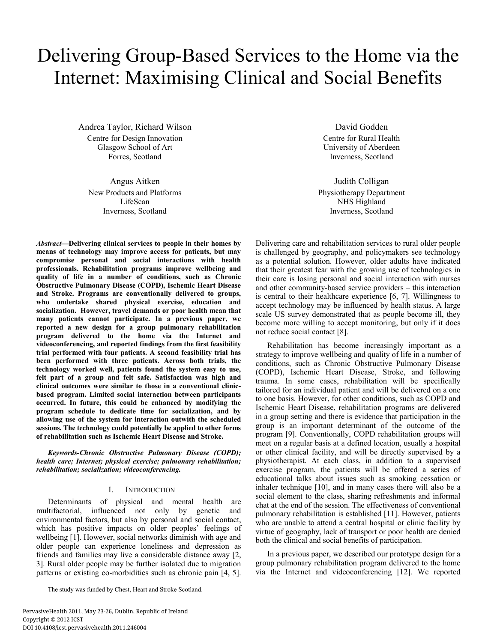# Delivering Group-Based Services to the Home via the Internet: Maximising Clinical and Social Benefits

Andrea Taylor, Richard Wilson Centre for Design Innovation Glasgow School of Art Forres, Scotland

Angus Aitken New Products and Platforms LifeScan Inverness, Scotland

*Abstract***—Delivering clinical services to people in their homes by means of technology may improve access for patients, but may compromise personal and social interactions with health professionals. Rehabilitation programs improve wellbeing and quality of life in a number of conditions, such as Chronic Obstructive Pulmonary Disease (COPD), Ischemic Heart Disease and Stroke. Programs are conventionally delivered to groups, who undertake shared physical exercise, education and socialization. However, travel demands or poor health mean that many patients cannot participate. In a previous paper, we reported a new design for a group pulmonary rehabilitation program delivered to the home via the Internet and videoconferencing, and reported findings from the first feasibility trial performed with four patients. A second feasibility trial has been performed with three patients. Across both trials, the technology worked well, patients found the system easy to use, felt part of a group and felt safe. Satisfaction was high and clinical outcomes were similar to those in a conventional clinicbased program. Limited social interaction between participants occurred. In future, this could be enhanced by modifying the program schedule to dedicate time for socialization, and by allowing use of the system for interaction outwith the scheduled sessions. The technology could potentially be applied to other forms of rehabilitation such as Ischemic Heart Disease and Stroke.** 

*Keywords-Chronic Obstructive Pulmonary Disease (COPD); health care; Internet; physical exercise; pulmonary rehabilitation; rehabilitation; socialization; videoconferencing.* 

## I. INTRODUCTION

Determinants of physical and mental health are multifactorial, influenced not only by genetic and environmental factors, but also by personal and social contact, which has positive impacts on older peoples' feelings of wellbeing [1]. However, social networks diminish with age and older people can experience loneliness and depression as friends and families may live a considerable distance away [2, 3]. Rural older people may be further isolated due to migration patterns or existing co-morbidities such as chronic pain [4, 5].

David Godden Centre for Rural Health University of Aberdeen Inverness, Scotland

Judith Colligan Physiotherapy Department NHS Highland Inverness, Scotland

Delivering care and rehabilitation services to rural older people is challenged by geography, and policymakers see technology as a potential solution. However, older adults have indicated that their greatest fear with the growing use of technologies in their care is losing personal and social interaction with nurses and other community-based service providers – this interaction is central to their healthcare experience [6, 7]. Willingness to accept technology may be influenced by health status. A large scale US survey demonstrated that as people become ill, they become more willing to accept monitoring, but only if it does not reduce social contact [8].

Rehabilitation has become increasingly important as a strategy to improve wellbeing and quality of life in a number of conditions, such as Chronic Obstructive Pulmonary Disease (COPD), Ischemic Heart Disease, Stroke, and following trauma. In some cases, rehabilitation will be specifically tailored for an individual patient and will be delivered on a one to one basis. However, for other conditions, such as COPD and Ischemic Heart Disease, rehabilitation programs are delivered in a group setting and there is evidence that participation in the group is an important determinant of the outcome of the program [9]. Conventionally, COPD rehabilitation groups will meet on a regular basis at a defined location, usually a hospital or other clinical facility, and will be directly supervised by a physiotherapist. At each class, in addition to a supervised exercise program, the patients will be offered a series of educational talks about issues such as smoking cessation or inhaler technique [10], and in many cases there will also be a social element to the class, sharing refreshments and informal chat at the end of the session. The effectiveness of conventional pulmonary rehabilitation is established [11]. However, patients who are unable to attend a central hospital or clinic facility by virtue of geography, lack of transport or poor health are denied both the clinical and social benefits of participation.

In a previous paper, we described our prototype design for a group pulmonary rehabilitation program delivered to the home via the Internet and videoconferencing [12]. We reported

The study was funded by Chest, Heart and Stroke Scotland.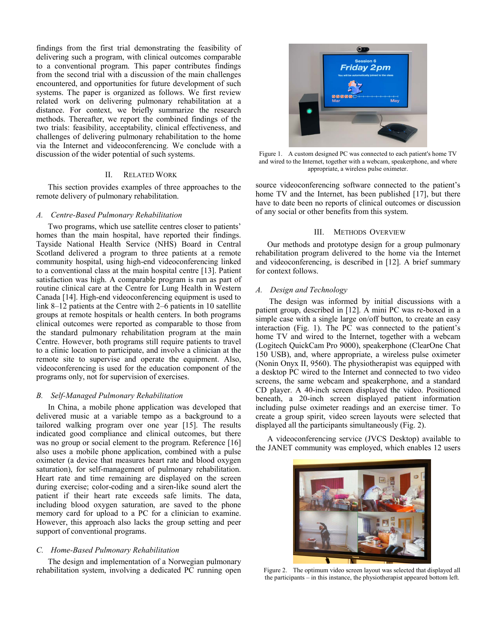findings from the first trial demonstrating the feasibility of delivering such a program, with clinical outcomes comparable to a conventional program. This paper contributes findings from the second trial with a discussion of the main challenges encountered, and opportunities for future development of such systems. The paper is organized as follows. We first review related work on delivering pulmonary rehabilitation at a distance. For context, we briefly summarize the research methods. Thereafter, we report the combined findings of the two trials: feasibility, acceptability, clinical effectiveness, and challenges of delivering pulmonary rehabilitation to the home via the Internet and videoconferencing. We conclude with a discussion of the wider potential of such systems.

# II. RELATED WORK

This section provides examples of three approaches to the remote delivery of pulmonary rehabilitation.

#### *A. Centre-Based Pulmonary Rehabilitation*

Two programs, which use satellite centres closer to patients' homes than the main hospital, have reported their findings. Tayside National Health Service (NHS) Board in Central Scotland delivered a program to three patients at a remote community hospital, using high-end videoconferencing linked to a conventional class at the main hospital centre [13]. Patient satisfaction was high. A comparable program is run as part of routine clinical care at the Centre for Lung Health in Western Canada [14]. High-end videoconferencing equipment is used to link 8–12 patients at the Centre with 2–6 patients in 10 satellite groups at remote hospitals or health centers. In both programs clinical outcomes were reported as comparable to those from the standard pulmonary rehabilitation program at the main Centre. However, both programs still require patients to travel to a clinic location to participate, and involve a clinician at the remote site to supervise and operate the equipment. Also, videoconferencing is used for the education component of the programs only, not for supervision of exercises.

## *B. Self-Managed Pulmonary Rehabilitation*

In China, a mobile phone application was developed that delivered music at a variable tempo as a background to a tailored walking program over one year [15]. The results indicated good compliance and clinical outcomes, but there was no group or social element to the program. Reference [16] also uses a mobile phone application, combined with a pulse oximeter (a device that measures heart rate and blood oxygen saturation), for self-management of pulmonary rehabilitation. Heart rate and time remaining are displayed on the screen during exercise; color-coding and a siren-like sound alert the patient if their heart rate exceeds safe limits. The data, including blood oxygen saturation, are saved to the phone memory card for upload to a PC for a clinician to examine. However, this approach also lacks the group setting and peer support of conventional programs.

#### *C. Home-Based Pulmonary Rehabilitation*

The design and implementation of a Norwegian pulmonary rehabilitation system, involving a dedicated PC running open



Figure 1. A custom designed PC was connected to each patient's home TV and wired to the Internet, together with a webcam, speakerphone, and where appropriate, a wireless pulse oximeter.

source videoconferencing software connected to the patient's home TV and the Internet, has been published [17], but there have to date been no reports of clinical outcomes or discussion of any social or other benefits from this system.

# III. METHODS OVERVIEW

Our methods and prototype design for a group pulmonary rehabilitation program delivered to the home via the Internet and videoconferencing, is described in [12]. A brief summary for context follows.

# *A. Design and Technology*

 The design was informed by initial discussions with a patient group, described in [12]. A mini PC was re-boxed in a simple case with a single large on/off button, to create an easy interaction (Fig. 1). The PC was connected to the patient's home TV and wired to the Internet, together with a webcam (Logitech QuickCam Pro 9000), speakerphone (ClearOne Chat 150 USB), and, where appropriate, a wireless pulse oximeter (Nonin Onyx II, 9560). The physiotherapist was equipped with a desktop PC wired to the Internet and connected to two video screens, the same webcam and speakerphone, and a standard CD player. A 40-inch screen displayed the video. Positioned beneath, a 20-inch screen displayed patient information including pulse oximeter readings and an exercise timer. To create a group spirit, video screen layouts were selected that displayed all the participants simultaneously (Fig. 2).

A videoconferencing service (JVCS Desktop) available to the JANET community was employed, which enables 12 users



Figure 2. The optimum video screen layout was selected that displayed all the participants – in this instance, the physiotherapist appeared bottom left.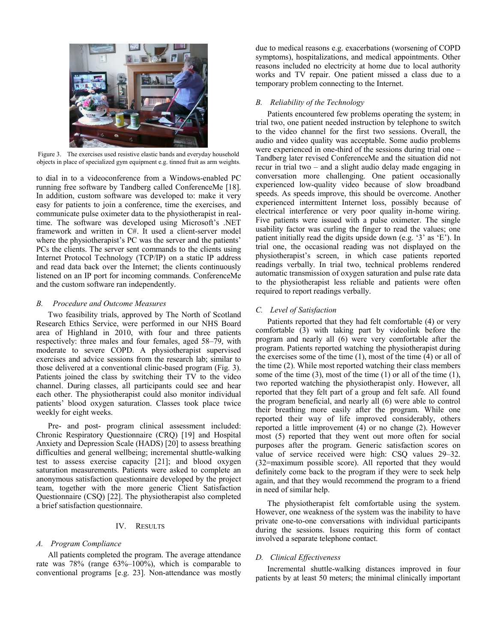

Figure 3. The exercises used resistive elastic bands and everyday household objects in place of specialized gym equipment e.g. tinned fruit as arm weights.

to dial in to a videoconference from a Windows-enabled PC running free software by Tandberg called ConferenceMe [18]. In addition, custom software was developed to: make it very easy for patients to join a conference, time the exercises, and communicate pulse oximeter data to the physiotherapist in realtime. The software was developed using Microsoft's .NET framework and written in C#. It used a client-server model where the physiotherapist's PC was the server and the patients' PCs the clients. The server sent commands to the clients using Internet Protocol Technology (TCP/IP) on a static IP address and read data back over the Internet; the clients continuously listened on an IP port for incoming commands. ConferenceMe and the custom software ran independently.

## *B. Procedure and Outcome Measures*

Two feasibility trials, approved by The North of Scotland Research Ethics Service, were performed in our NHS Board area of Highland in 2010, with four and three patients respectively: three males and four females, aged 58–79, with moderate to severe COPD. A physiotherapist supervised exercises and advice sessions from the research lab; similar to those delivered at a conventional clinic-based program (Fig. 3). Patients joined the class by switching their TV to the video channel. During classes, all participants could see and hear each other. The physiotherapist could also monitor individual patients' blood oxygen saturation. Classes took place twice weekly for eight weeks.

Pre- and post- program clinical assessment included: Chronic Respiratory Questionnaire (CRQ) [19] and Hospital Anxiety and Depression Scale (HADS) [20] to assess breathing difficulties and general wellbeing; incremental shuttle-walking test to assess exercise capacity [21]; and blood oxygen saturation measurements. Patients were asked to complete an anonymous satisfaction questionnaire developed by the project team, together with the more generic Client Satisfaction Questionnaire (CSQ) [22]. The physiotherapist also completed a brief satisfaction questionnaire.

# IV. RESULTS

# *A. Program Compliance*

All patients completed the program. The average attendance rate was 78% (range 63%–100%), which is comparable to conventional programs [e.g. 23]. Non-attendance was mostly due to medical reasons e.g. exacerbations (worsening of COPD symptoms), hospitalizations, and medical appointments. Other reasons included no electricity at home due to local authority works and TV repair. One patient missed a class due to a temporary problem connecting to the Internet.

# *B. Reliability of the Technology*

Patients encountered few problems operating the system; in trial two, one patient needed instruction by telephone to switch to the video channel for the first two sessions. Overall, the audio and video quality was acceptable. Some audio problems were experienced in one-third of the sessions during trial one – Tandberg later revised ConferenceMe and the situation did not recur in trial two – and a slight audio delay made engaging in conversation more challenging. One patient occasionally experienced low-quality video because of slow broadband speeds. As speeds improve, this should be overcome. Another experienced intermittent Internet loss, possibly because of electrical interference or very poor quality in-home wiring. Five patients were issued with a pulse oximeter. The single usability factor was curling the finger to read the values; one patient initially read the digits upside down (e.g. '3' as 'E'). In trial one, the occasional reading was not displayed on the physiotherapist's screen, in which case patients reported readings verbally. In trial two, technical problems rendered automatic transmission of oxygen saturation and pulse rate data to the physiotherapist less reliable and patients were often required to report readings verbally.

# *C. Level of Satisfaction*

Patients reported that they had felt comfortable (4) or very comfortable (3) with taking part by videolink before the program and nearly all (6) were very comfortable after the program. Patients reported watching the physiotherapist during the exercises some of the time (1), most of the time (4) or all of the time (2). While most reported watching their class members some of the time (3), most of the time (1) or all of the time (1), two reported watching the physiotherapist only. However, all reported that they felt part of a group and felt safe. All found the program beneficial, and nearly all (6) were able to control their breathing more easily after the program. While one reported their way of life improved considerably, others reported a little improvement (4) or no change (2). However most (5) reported that they went out more often for social purposes after the program. Generic satisfaction scores on value of service received were high: CSQ values 29–32. (32=maximum possible score). All reported that they would definitely come back to the program if they were to seek help again, and that they would recommend the program to a friend in need of similar help.

The physiotherapist felt comfortable using the system. However, one weakness of the system was the inability to have private one-to-one conversations with individual participants during the sessions. Issues requiring this form of contact involved a separate telephone contact.

# *D. Clinical Effectiveness*

Incremental shuttle-walking distances improved in four patients by at least 50 meters; the minimal clinically important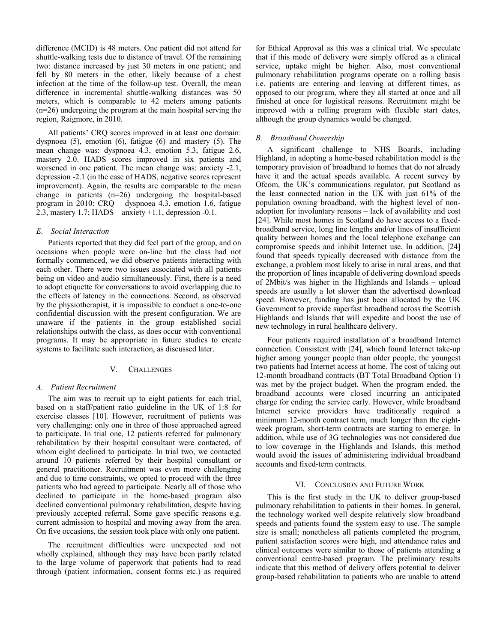difference (MCID) is 48 meters. One patient did not attend for shuttle-walking tests due to distance of travel. Of the remaining two: distance increased by just 30 meters in one patient; and fell by 80 meters in the other, likely because of a chest infection at the time of the follow-up test. Overall, the mean difference in incremental shuttle-walking distances was 50 meters, which is comparable to 42 meters among patients (n=26) undergoing the program at the main hospital serving the region, Raigmore, in 2010.

All patients' CRQ scores improved in at least one domain: dyspnoea (5), emotion (6), fatigue (6) and mastery (5). The mean change was: dyspnoea 4.3, emotion 5.3, fatigue 2.6, mastery 2.0. HADS scores improved in six patients and worsened in one patient. The mean change was: anxiety -2.1, depression -2.1 (in the case of HADS, negative scores represent improvement). Again, the results are comparable to the mean change in patients (n=26) undergoing the hospital-based program in 2010: CRQ – dyspnoea 4.3, emotion 1.6, fatigue 2.3, mastery 1.7; HADS – anxiety +1.1, depression -0.1.

## *E. Social Interaction*

Patients reported that they did feel part of the group, and on occasions when people were on-line but the class had not formally commenced, we did observe patients interacting with each other. There were two issues associated with all patients being on video and audio simultaneously. First, there is a need to adopt etiquette for conversations to avoid overlapping due to the effects of latency in the connections. Second, as observed by the physiotherapist, it is impossible to conduct a one-to-one confidential discussion with the present configuration. We are unaware if the patients in the group established social relationships outwith the class, as does occur with conventional programs. It may be appropriate in future studies to create systems to facilitate such interaction, as discussed later.

#### V. CHALLENGES

## *A. Patient Recruitment*

The aim was to recruit up to eight patients for each trial, based on a staff/patient ratio guideline in the UK of 1:8 for exercise classes [10]. However, recruitment of patients was very challenging: only one in three of those approached agreed to participate. In trial one, 12 patients referred for pulmonary rehabilitation by their hospital consultant were contacted, of whom eight declined to participate. In trial two, we contacted around 10 patients referred by their hospital consultant or general practitioner. Recruitment was even more challenging and due to time constraints, we opted to proceed with the three patients who had agreed to participate. Nearly all of those who declined to participate in the home-based program also declined conventional pulmonary rehabilitation, despite having previously accepted referral. Some gave specific reasons e.g. current admission to hospital and moving away from the area. On five occasions, the session took place with only one patient.

The recruitment difficulties were unexpected and not wholly explained, although they may have been partly related to the large volume of paperwork that patients had to read through (patient information, consent forms etc.) as required

for Ethical Approval as this was a clinical trial. We speculate that if this mode of delivery were simply offered as a clinical service, uptake might be higher. Also, most conventional pulmonary rehabilitation programs operate on a rolling basis i.e. patients are entering and leaving at different times, as opposed to our program, where they all started at once and all finished at once for logistical reasons. Recruitment might be improved with a rolling program with flexible start dates, although the group dynamics would be changed.

# *B. Broadband Ownership*

A significant challenge to NHS Boards, including Highland, in adopting a home-based rehabilitation model is the temporary provision of broadband to homes that do not already have it and the actual speeds available. A recent survey by Ofcom, the UK's communications regulator, put Scotland as the least connected nation in the UK with just 61% of the population owning broadband, with the highest level of nonadoption for involuntary reasons – lack of availability and cost [24]. While most homes in Scotland do have access to a fixedbroadband service, long line lengths and/or lines of insufficient quality between homes and the local telephone exchange can compromise speeds and inhibit Internet use. In addition, [24] found that speeds typically decreased with distance from the exchange, a problem most likely to arise in rural areas, and that the proportion of lines incapable of delivering download speeds of 2Mbit/s was higher in the Highlands and Islands – upload speeds are usually a lot slower than the advertised download speed. However, funding has just been allocated by the UK Government to provide superfast broadband across the Scottish Highlands and Islands that will expedite and boost the use of new technology in rural healthcare delivery.

Four patients required installation of a broadband Internet connection. Consistent with [24], which found Internet take-up higher among younger people than older people, the youngest two patients had Internet access at home. The cost of taking out 12-month broadband contracts (BT Total Broadband Option 1) was met by the project budget. When the program ended, the broadband accounts were closed incurring an anticipated charge for ending the service early. However, while broadband Internet service providers have traditionally required a minimum 12-month contract term, much longer than the eightweek program, short-term contracts are starting to emerge. In addition, while use of 3G technologies was not considered due to low coverage in the Highlands and Islands, this method would avoid the issues of administering individual broadband accounts and fixed-term contracts.

#### VI. CONCLUSION AND FUTURE WORK

This is the first study in the UK to deliver group-based pulmonary rehabilitation to patients in their homes. In general, the technology worked well despite relatively slow broadband speeds and patients found the system easy to use. The sample size is small; nonetheless all patients completed the program, patient satisfaction scores were high, and attendance rates and clinical outcomes were similar to those of patients attending a conventional centre-based program. The preliminary results indicate that this method of delivery offers potential to deliver group-based rehabilitation to patients who are unable to attend